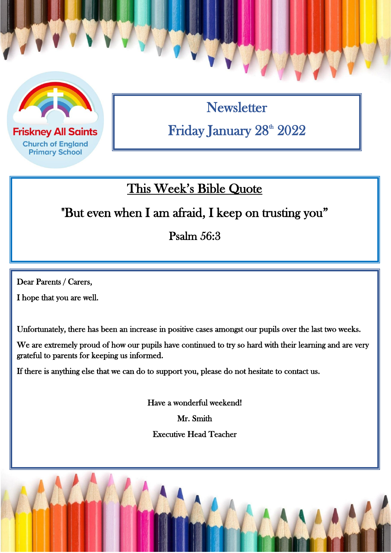

**Friskney All Saints Church of England Primary School** 

**Newsletter** Friday January 28<sup>th</sup> 2022

## This Week's Bible Quote

"But even when I am afraid, I keep on trusting you"

Psalm 56:3

 $\overline{a}$ 

Dear Parents / Carers,

I hope that you are well.

Unfortunately, there has been an increase in positive cases amongst our pupils over the last two weeks.

We are extremely proud of how our pupils have continued to try so hard with their learning and are very grateful to parents for keeping us informed.

If there is anything else that we can do to support you, please do not hesitate to contact us.

Have a wonderful weekend! Mr. Smith Executive Head Teacher

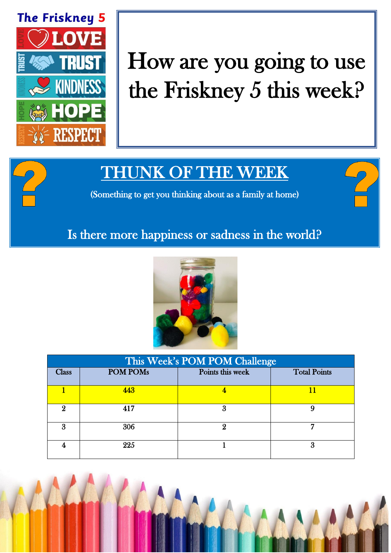

## How are you going to use the Friskney 5 this week?

## THUNK OF THE WEEK

(Something to get you thinking about as a family at home)

## Is there more happiness or sadness in the world?



| This Week's POM POM Challenge |                 |                  |                     |  |
|-------------------------------|-----------------|------------------|---------------------|--|
| <b>Class</b>                  | <b>POM POMs</b> | Points this week | <b>Total Points</b> |  |
|                               | 443             |                  | 11                  |  |
| 9.                            | 417             | 3                |                     |  |
| Я                             | 306             |                  |                     |  |
|                               | 225             |                  | З                   |  |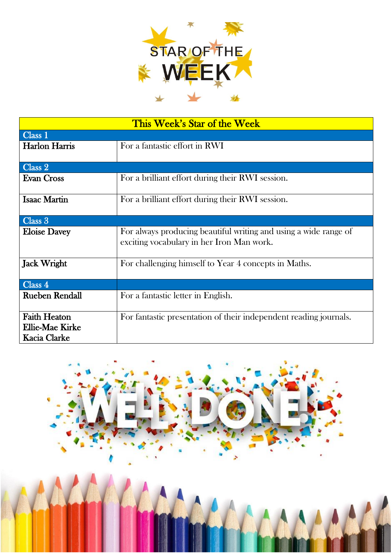

| This Week's Star of the Week                                  |                                                                                                               |  |  |  |
|---------------------------------------------------------------|---------------------------------------------------------------------------------------------------------------|--|--|--|
| Class 1                                                       |                                                                                                               |  |  |  |
| <b>Harlon Harris</b>                                          | For a fantastic effort in RWI                                                                                 |  |  |  |
| Class 2                                                       |                                                                                                               |  |  |  |
| <b>Evan Cross</b>                                             | For a brilliant effort during their RWI session.                                                              |  |  |  |
| <b>Isaac Martin</b>                                           | For a brilliant effort during their RWI session.                                                              |  |  |  |
| Class 3                                                       |                                                                                                               |  |  |  |
| <b>Eloise Davey</b>                                           | For always producing beautiful writing and using a wide range of<br>exciting vocabulary in her Iron Man work. |  |  |  |
| <b>Jack Wright</b>                                            | For challenging himself to Year 4 concepts in Maths.                                                          |  |  |  |
| Class 4                                                       |                                                                                                               |  |  |  |
| <b>Rueben Rendall</b>                                         | For a fantastic letter in English.                                                                            |  |  |  |
| <b>Faith Heaton</b><br>Ellie-Mae Kirke<br><b>Kacia Clarke</b> | For fantastic presentation of their independent reading journals.                                             |  |  |  |